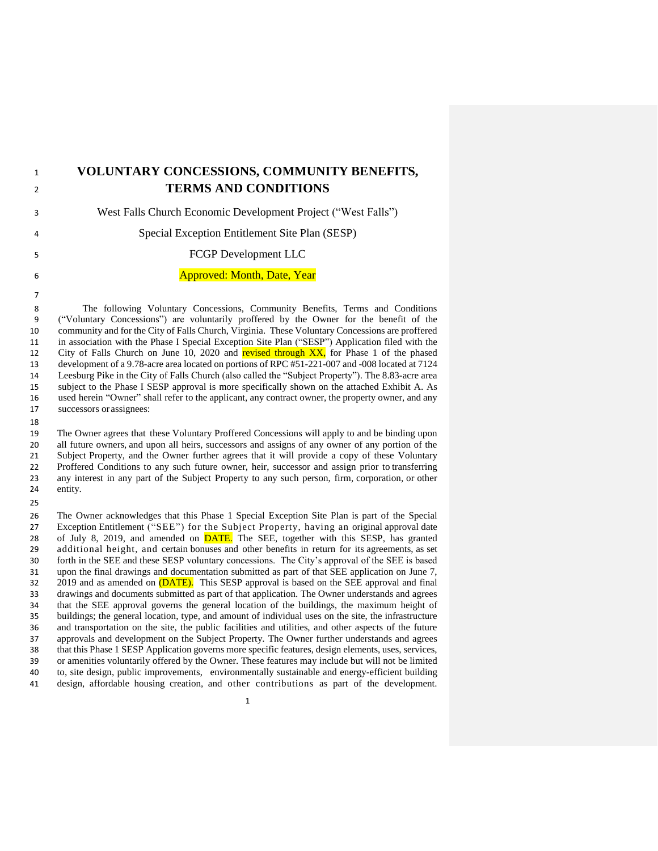| $\mathbf{1}$ | VOLUNTARY CONCESSIONS, COMMUNITY BENEFITS,                    |
|--------------|---------------------------------------------------------------|
| 2            | <b>TERMS AND CONDITIONS</b>                                   |
| 3            | West Falls Church Economic Development Project ("West Falls") |
| 4            | Special Exception Entitlement Site Plan (SESP)                |
| 5.           | FCGP Development LLC                                          |
| 6            | <b>Approved: Month, Date, Year</b>                            |
|              |                                                               |

 The following Voluntary Concessions, Community Benefits, Terms and Conditions ("Voluntary Concessions") are voluntarily proffered by the Owner for the benefit of the community and for the City of Falls Church, Virginia. These Voluntary Concessions are proffered 11 in association with the Phase I Special Exception Site Plan ("SESP") Application filed with the City of Falls Church on June 10, 2020 and **revised through XX**, for Phase 1 of the phased City of Falls Church on June 10, 2020 and revised through  $XX$ , for Phase 1 of the phased development of a 9.78-acre area located on portions of RPC #51-221-007 and -008 located at 7124 Leesburg Pike in the City of Falls Church (also called the "Subject Property"). The 8.83-acre area subject to the Phase I SESP approval is more specifically shown on the attached Exhibit A. As used herein "Owner" shall refer to the applicant, any contract owner, the property owner, and any successors or assignees:

 The Owner agrees that these Voluntary Proffered Concessions will apply to and be binding upon all future owners, and upon all heirs, successors and assigns of any owner of any portion of the Subject Property, and the Owner further agrees that it will provide a copy of these Voluntary 22 Proffered Conditions to any such future owner, heir, successor and assign prior to transferring<br>23 any interest in any part of the Subject Property to any such person, firm, corporation, or other any interest in any part of the Subject Property to any such person, firm, corporation, or other entity.

 The Owner acknowledges that this Phase 1 Special Exception Site Plan is part of the Special Exception Entitlement ("SEE") for the Subject Property, having an original approval date 28 of July 8, 2019, and amended on **DATE**. The SEE, together with this SESP, has granted additional height, and certain bonuses and other benefits in return for its agreements, as set forth in the SEE and these SESP voluntary concessions. The City's approval of the SEE is based upon the final drawings and documentation submitted as part of that SEE application on June 7, 2019 and as amended on (DATE). This SESP approval is based on the SEE approval and final drawings and documents submitted as part of that application. The Owner understands and agrees that the SEE approval governs the general location of the buildings, the maximum height of buildings; the general location, type, and amount of individual uses on the site, the infrastructure and transportation on the site, the public facilities and utilities, and other aspects of the future approvals and development on the Subject Property. The Owner further understands and agrees that this Phase 1 SESP Application governs more specific features, design elements, uses, services, or amenities voluntarily offered by the Owner. These features may include but will not be limited to, site design, public improvements, environmentally sustainable and energy-efficient building design, affordable housing creation, and other contributions as part of the development.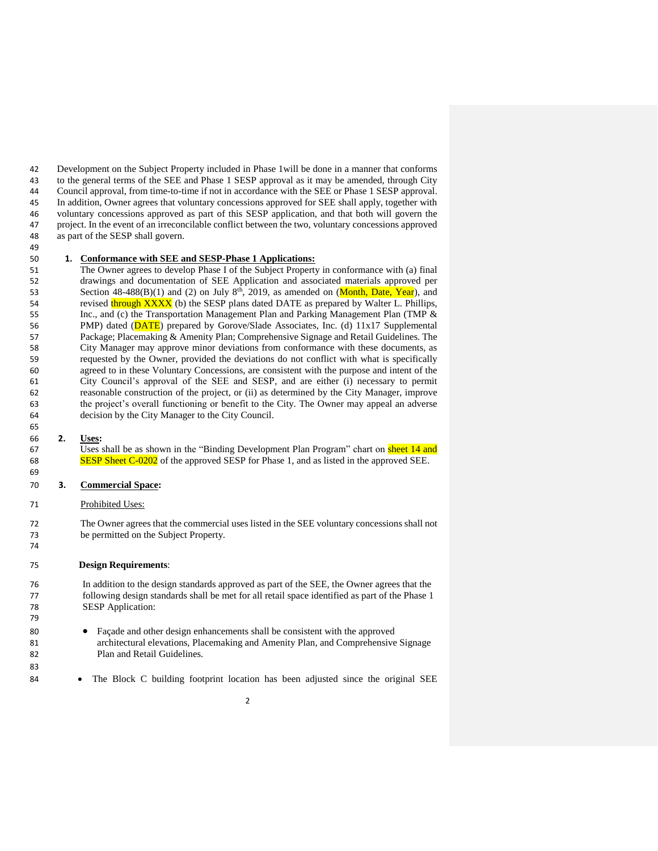Development on the Subject Property included in Phase 1will be done in a manner that conforms to the general terms of the SEE and Phase 1 SESP approval as it may be amended, through City Council approval, from time-to-time if not in accordance with the SEE or Phase 1 SESP approval. In addition, Owner agrees that voluntary concessions approved for SEE shall apply, together with voluntary concessions approved as part of this SESP application, and that both will govern the project. In the event of an irreconcilable conflict between the two, voluntary concessions approved as part of the SESP shall govern. 

# **1. Conformance with SEE and SESP-Phase 1 Applications:**

 The Owner agrees to develop Phase I of the Subject Property in conformance with (a) final drawings and documentation of SEE Application and associated materials approved per 53 Section  $48-488(B)(1)$  and (2) on July  $8<sup>th</sup>$ , 2019, as amended on (Month, Date, Year), and 54 revised through XXXX (b) the SESP plans dated DATE as prepared by Walter L. Phillips, 55 Inc., and (c) the Transportation Management Plan and Parking Management Plan (TMP & 56 PMP) dated (DATE) prepared by Gorove/Slade Associates, Inc. (d) 11x17 Supplemental Package; Placemaking & Amenity Plan; Comprehensive Signage and Retail Guidelines. The City Manager may approve minor deviations from conformance with these documents, as requested by the Owner, provided the deviations do not conflict with what is specifically agreed to in these Voluntary Concessions, are consistent with the purpose and intent of the City Council's approval of the SEE and SESP, and are either (i) necessary to permit reasonable construction of the project, or (ii) as determined by the City Manager, improve the project's overall functioning or benefit to the City. The Owner may appeal an adverse decision by the City Manager to the City Council.

#### **2. Uses:**

 $\overline{U}$ ses shall be as shown in the "Binding Development Plan Program" chart on **sheet 14 and**<br>68 **SESP Sheet C-0202** of the approved SESP for Phase 1, and as listed in the approved SEE. SESP Sheet C-0202 of the approved SESP for Phase 1, and as listed in the approved SEE.

# **3. Commercial Space:**

## Prohibited Uses:

 The Owner agrees that the commercial uses listed in the SEE voluntary concessions shall not be permitted on the Subject Property.

## **Design Requirements**:

 In addition to the design standards approved as part of the SEE, the Owner agrees that the following design standards shall be met for all retail space identified as part of the Phase 1 SESP Application:

- Façade and other design enhancements shall be consistent with the approved architectural elevations, Placemaking and Amenity Plan, and Comprehensive Signage Plan and Retail Guidelines.
- 84 The Block C building footprint location has been adjusted since the original SEE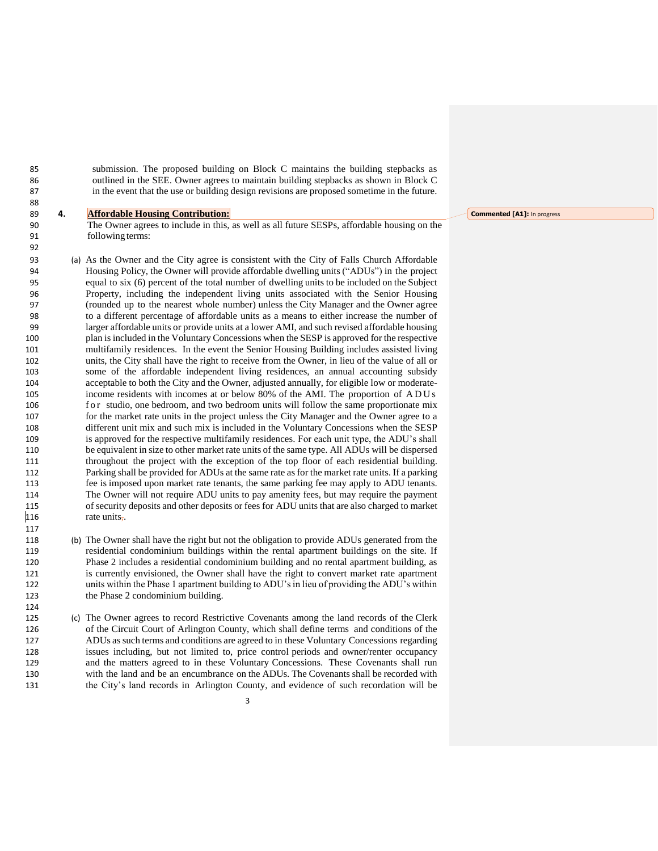submission. The proposed building on Block C maintains the building stepbacks as outlined in the SEE. Owner agrees to maintain building stepbacks as shown in Block C in the event that the use or building design revisions are proposed sometime in the future.

#### **4. Affordable Housing Contribution:**

 The Owner agrees to include in this, as well as all future SESPs, affordable housing on the followingterms:

- (a) As the Owner and the City agree is consistent with the City of Falls Church Affordable Housing Policy, the Owner will provide affordable dwelling units ("ADUs") in the project equal to six (6) percent of the total number of dwelling units to be included on the Subject Property, including the independent living units associated with the Senior Housing (rounded up to the nearest whole number) unless the City Manager and the Owner agree to a different percentage of affordable units as a means to either increase the number of larger affordable units or provide units at a lower AMI, and such revised affordable housing plan is included in the Voluntary Concessions when the SESP is approved for the respective multifamily residences. In the event the Senior Housing Building includes assisted living units, the City shall have the right to receive from the Owner, in lieu of the value of all or some of the affordable independent living residences, an annual accounting subsidy acceptable to both the City and the Owner, adjusted annually, for eligible low or moderate- income residents with incomes at or below 80% of the AMI. The proportion of A D U s 106 for studio, one bedroom, and two bedroom units will follow the same proportionate mix for the market rate units in the project unless the City Manager and the Owner agree to a different unit mix and such mix is included in the Voluntary Concessions when the SESP is approved for the respective multifamily residences. For each unit type, the ADU's shall be equivalent in size to other market rate units of the same type. All ADUs will be dispersed throughout the project with the exception of the top floor of each residential building. Parking shall be provided for ADUs at the same rate as for the market rate units. If a parking fee is imposed upon market rate tenants, the same parking fee may apply to ADU tenants. The Owner will not require ADU units to pay amenity fees, but may require the payment of security deposits and other deposits or fees for ADU units that are also charged to market 116 rate units,
- (b) The Owner shall have the right but not the obligation to provide ADUs generated from the residential condominium buildings within the rental apartment buildings on the site. If Phase 2 includes a residential condominium building and no rental apartment building, as is currently envisioned, the Owner shall have the right to convert market rate apartment units within the Phase 1 apartment building to ADU's in lieu of providing the ADU's within the Phase 2 condominium building.
- (c) The Owner agrees to record Restrictive Covenants among the land records of the Clerk of the Circuit Court of Arlington County, which shall define terms and conditions of the ADUs as such terms and conditions are agreed to in these Voluntary Concessions regarding issues including, but not limited to, price control periods and owner/renter occupancy and the matters agreed to in these Voluntary Concessions. These Covenants shall run with the land and be an encumbrance on the ADUs. The Covenants shall be recorded with the City's land records in Arlington County, and evidence of such recordation will be

**Commented [A1]:** In progress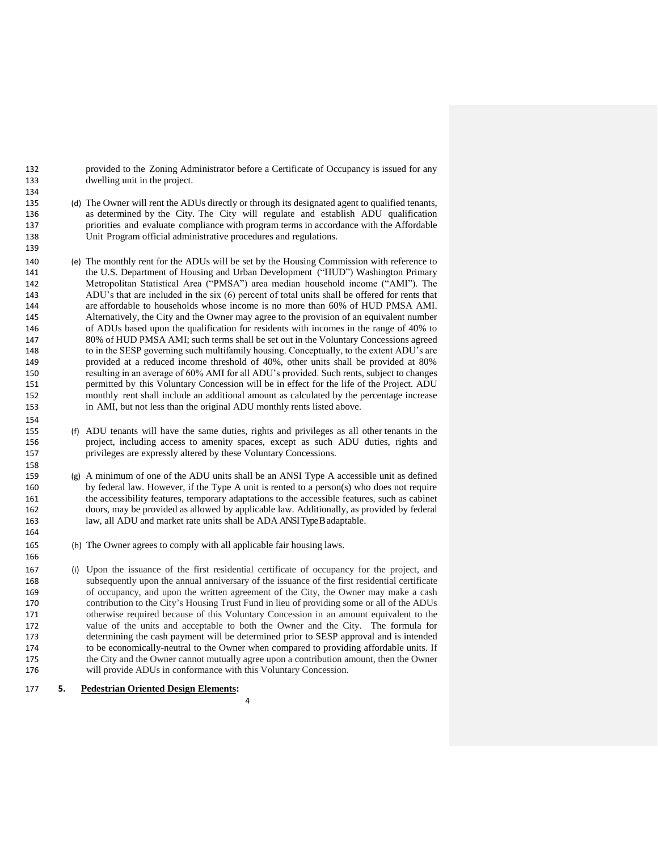provided to the Zoning Administrator before a Certificate of Occupancy is issued for any dwelling unit in the project.

- (d) The Owner will rent the ADUs directly or through its designated agent to qualified tenants, as determined by the City. The City will regulate and establish ADU qualification priorities and evaluate compliance with program terms in accordance with the Affordable Unit Program official administrative procedures and regulations.
- (e) The monthly rent for the ADUs will be set by the Housing Commission with reference to the U.S. Department of Housing and Urban Development ("HUD") Washington Primary Metropolitan Statistical Area ("PMSA") area median household income ("AMI"). The ADU's that are included in the six (6) percent of total units shall be offered for rents that are affordable to households whose income is no more than 60% of HUD PMSA AMI. Alternatively, the City and the Owner may agree to the provision of an equivalent number of ADUs based upon the qualification for residents with incomes in the range of 40% to 80% of HUD PMSA AMI; such terms shall be set out in the Voluntary Concessions agreed to in the SESP governing such multifamily housing. Conceptually, to the extent ADU's are provided at a reduced income threshold of 40%, other units shall be provided at 80% resulting in an average of 60% AMI for all ADU's provided. Such rents, subject to changes permitted by this Voluntary Concession will be in effect for the life of the Project. ADU monthly rent shall include an additional amount as calculated by the percentage increase in AMI, but not less than the original ADU monthly rents listed above.
- (f) ADU tenants will have the same duties, rights and privileges as all other tenants in the project, including access to amenity spaces, except as such ADU duties, rights and privileges are expressly altered by these Voluntary Concessions.
- (g) A minimum of one of the ADU units shall be an ANSI Type A accessible unit as defined by federal law. However, if the Type A unit is rented to a person(s) who does not require the accessibility features, temporary adaptations to the accessible features, such as cabinet doors, may be provided as allowed by applicable law. Additionally, as provided by federal law, all ADU and market rate units shall be ADA ANSI Type B adaptable.
- (h) The Owner agrees to comply with all applicable fair housing laws.
- (i) Upon the issuance of the first residential certificate of occupancy for the project, and subsequently upon the annual anniversary of the issuance of the first residential certificate of occupancy, and upon the written agreement of the City, the Owner may make a cash contribution to the City's Housing Trust Fund in lieu of providing some or all of the ADUs otherwise required because of this Voluntary Concession in an amount equivalent to the value of the units and acceptable to both the Owner and the City. The formula for determining the cash payment will be determined prior to SESP approval and is intended to be economically-neutral to the Owner when compared to providing affordable units. If the City and the Owner cannot mutually agree upon a contribution amount, then the Owner will provide ADUs in conformance with this Voluntary Concession.

**5. Pedestrian Oriented Design Elements:**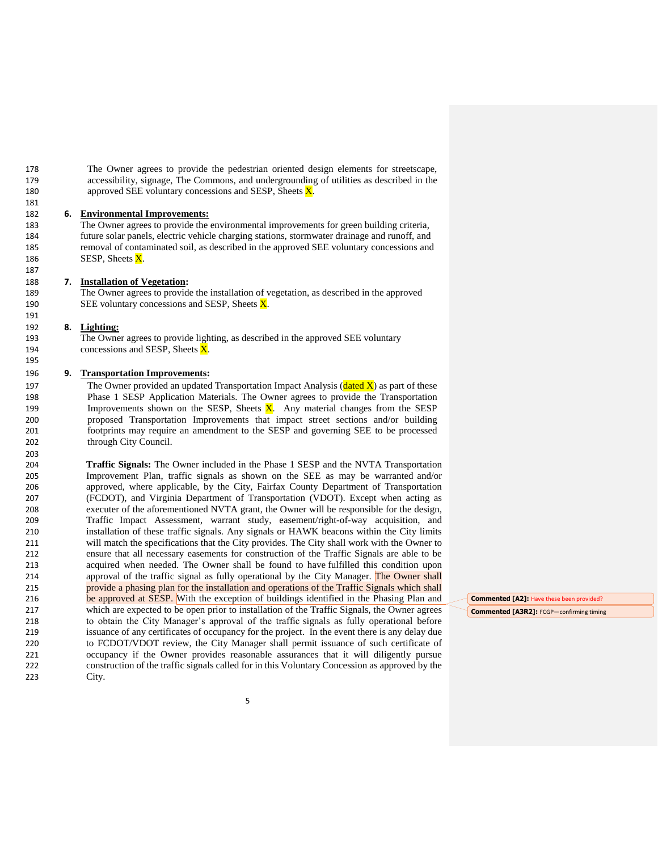The Owner agrees to provide the pedestrian oriented design elements for streetscape, accessibility, signage, The Commons, and undergrounding of utilities as described in the 180 approved SEE voluntary concessions and SESP, Sheets  $\overline{X}$ .

### **6. Environmental Improvements:**

 The Owner agrees to provide the environmental improvements for green building criteria, future solar panels, electric vehicle charging stations, stormwater drainage and runoff, and removal of contaminated soil, as described in the approved SEE voluntary concessions and 186 SESP, Sheets  $\overline{X}$ .

### **7. Installation of Vegetation:**

 The Owner agrees to provide the installation of vegetation, as described in the approved 190 SEE voluntary concessions and SESP, Sheets  $\overline{X}$ .

#### **8. Lighting:**

 The Owner agrees to provide lighting, as described in the approved SEE voluntary 194 concessions and SESP, Sheets  $\overline{X}$ .

### **9. Transportation Improvements:**

197 The Owner provided an updated Transportation Impact Analysis (dated  $\overline{X}$ ) as part of these Phase 1 SESP Application Materials. The Owner agrees to provide the Transportation 199 Improvements shown on the SESP, Sheets  $\overline{X}$ . Any material changes from the SESP proposed Transportation Improvements that impact street sections and/or building footprints may require an amendment to the SESP and governing SEE to be processed through City Council.

 **Traffic Signals:** The Owner included in the Phase 1 SESP and the NVTA Transportation Improvement Plan, traffic signals as shown on the SEE as may be warranted and/or approved, where applicable, by the City, Fairfax County Department of Transportation (FCDOT), and Virginia Department of Transportation (VDOT). Except when acting as executer of the aforementioned NVTA grant, the Owner will be responsible for the design, Traffic Impact Assessment, warrant study, easement/right-of-way acquisition, and installation of these traffic signals. Any signals or HAWK beacons within the City limits will match the specifications that the City provides. The City shall work with the Owner to ensure that all necessary easements for construction of the Traffic Signals are able to be acquired when needed. The Owner shall be found to have fulfilled this condition upon 214 approval of the traffic signal as fully operational by the City Manager. The Owner shall provide a phasing plan for the installation and operations of the Traffic Signals which shall 216 be approved at SESP. With the exception of buildings identified in the Phasing Plan and which are expected to be open prior to installation of the Traffic Signals, the Owner agrees to obtain the City Manager's approval of the traffic signals as fully operational before issuance of any certificates of occupancy for the project. In the event there is any delay due to FCDOT/VDOT review, the City Manager shall permit issuance of such certificate of occupancy if the Owner provides reasonable assurances that it will diligently pursue construction of the traffic signals called for in this Voluntary Concession as approved by the City.

**Commented [A2]:** Have these been provided? **Commented [A3R2]:** FCGP—confirming timing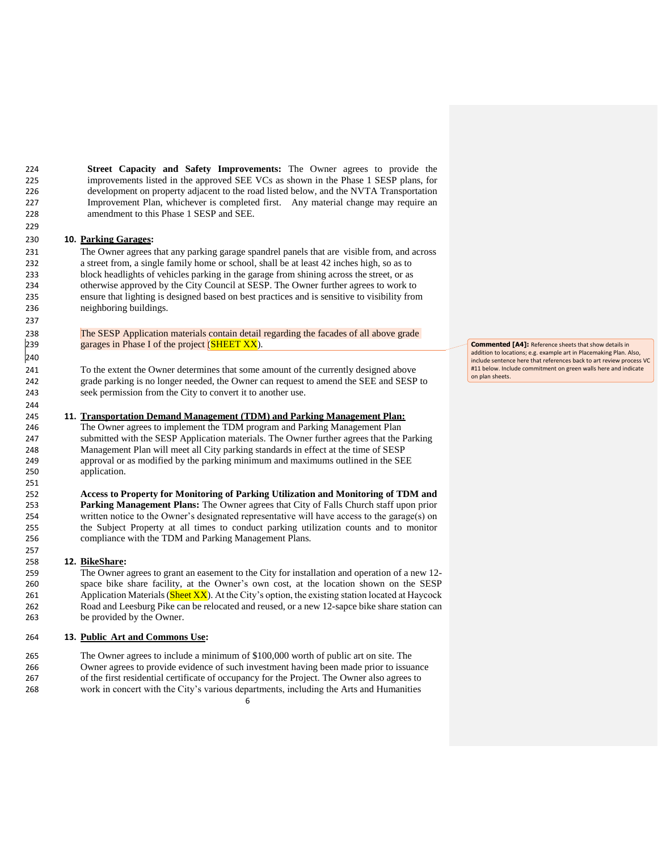**Street Capacity and Safety Improvements:** The Owner agrees to provide the improvements listed in the approved SEE VCs as shown in the Phase 1 SESP plans, for development on property adjacent to the road listed below, and the NVTA Transportation Improvement Plan, whichever is completed first. Any material change may require an amendment to this Phase 1 SESP and SEE.

### **10. Parking Garages:**

 The Owner agrees that any parking garage spandrel panels that are visible from, and across a street from, a single family home or school, shall be at least 42 inches high, so as to block headlights of vehicles parking in the garage from shining across the street, or as otherwise approved by the City Council at SESP. The Owner further agrees to work to ensure that lighting is designed based on best practices and is sensitive to visibility from neighboring buildings.

238 The SESP Application materials contain detail regarding the facades of all above grade 239 garages in Phase I of the project  $(SHEET XX)$ . garages in Phase I of the project  $(SHEET XX)$ .

 To the extent the Owner determines that some amount of the currently designed above grade parking is no longer needed, the Owner can request to amend the SEE and SESP to seek permission from the City to convert it to another use.

#### **11. Transportation Demand Management (TDM) and Parking Management Plan:**

 The Owner agrees to implement the TDM program and Parking Management Plan submitted with the SESP Application materials. The Owner further agrees that the Parking Management Plan will meet all City parking standards in effect at the time of SESP approval or as modified by the parking minimum and maximums outlined in the SEE application.

 **Access to Property for Monitoring of Parking Utilization and Monitoring of TDM and Parking Management Plans:** The Owner agrees that City of Falls Church staff upon prior written notice to the Owner's designated representative will have access to the garage(s) on the Subject Property at all times to conduct parking utilization counts and to monitor compliance with the TDM and Parking Management Plans.

### **12. BikeShare:**

 The Owner agrees to grant an easement to the City for installation and operation of a new 12- space bike share facility, at the Owner's own cost, at the location shown on the SESP 261 Application Materials  $(Sheet XX)$ . At the City's option, the existing station located at Haycock Road and Leesburg Pike can be relocated and reused, or a new 12-sapce bike share station can be provided by the Owner.

## **13. Public Art and Commons Use:**

The Owner agrees to include a minimum of \$100,000 worth of public art on site. The

- Owner agrees to provide evidence of such investment having been made prior to issuance
- of the first residential certificate of occupancy for the Project. The Owner also agrees to

 work in concert with the City's various departments, including the Arts and Humanities

**Commented [A4]:** Reference sheets that show details in addition to locations; e.g. example art in Placemaking Plan. Also,<br>include sentence here that references back to art review process VC #11 below. Include commitment on green walls here and indicate on plan sheets.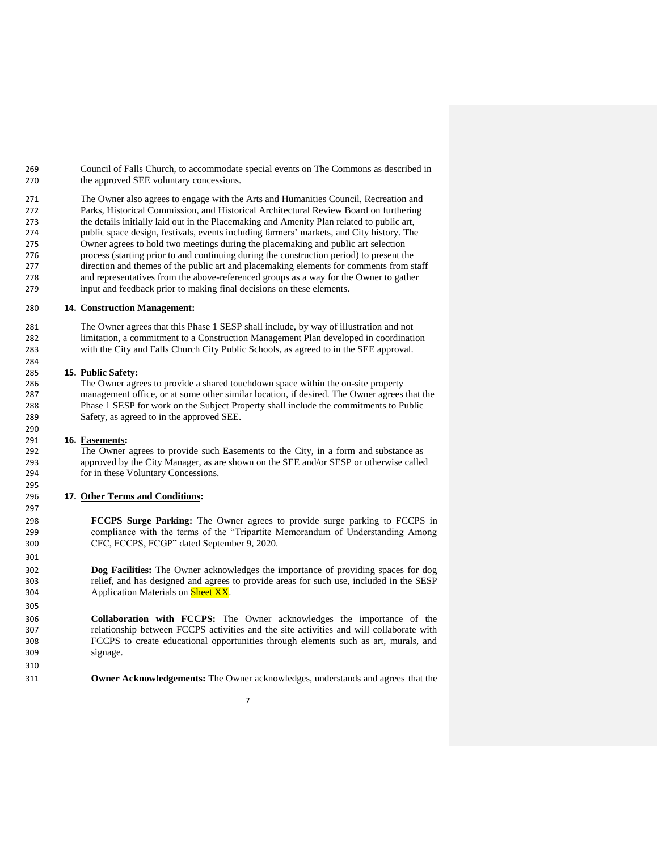Council of Falls Church, to accommodate special events on The Commons as described in the approved SEE voluntary concessions.

 The Owner also agrees to engage with the Arts and Humanities Council, Recreation and Parks, Historical Commission, and Historical Architectural Review Board on furthering the details initially laid out in the Placemaking and Amenity Plan related to public art, public space design, festivals, events including farmers' markets, and City history. The Owner agrees to hold two meetings during the placemaking and public art selection process (starting prior to and continuing during the construction period) to present the direction and themes of the public art and placemaking elements for comments from staff and representatives from the above-referenced groups as a way for the Owner to gather input and feedback prior to making final decisions on these elements.

## **14. Construction Management:**

 The Owner agrees that this Phase 1 SESP shall include, by way of illustration and not limitation, a commitment to a Construction Management Plan developed in coordination with the City and Falls Church City Public Schools, as agreed to in the SEE approval.

# **15. Public Safety:**

 The Owner agrees to provide a shared touchdown space within the on-site property management office, or at some other similar location, if desired. The Owner agrees that the Phase 1 SESP for work on the Subject Property shall include the commitments to Public Safety, as agreed to in the approved SEE.

#### **16. Easements:**

 The Owner agrees to provide such Easements to the City, in a form and substance as approved by the City Manager, as are shown on the SEE and/or SESP or otherwise called for in these Voluntary Concessions.

## **17. Other Terms and Conditions:**

 **FCCPS Surge Parking:** The Owner agrees to provide surge parking to FCCPS in compliance with the terms of the "Tripartite Memorandum of Understanding Among CFC, FCCPS, FCGP" dated September 9, 2020.

 **Dog Facilities:** The Owner acknowledges the importance of providing spaces for dog relief, and has designed and agrees to provide areas for such use, included in the SESP 304 Application Materials on Sheet XX.

 **Collaboration with FCCPS:** The Owner acknowledges the importance of the relationship between FCCPS activities and the site activities and will collaborate with FCCPS to create educational opportunities through elements such as art, murals, and signage.

**Owner Acknowledgements:** The Owner acknowledges, understands and agrees that the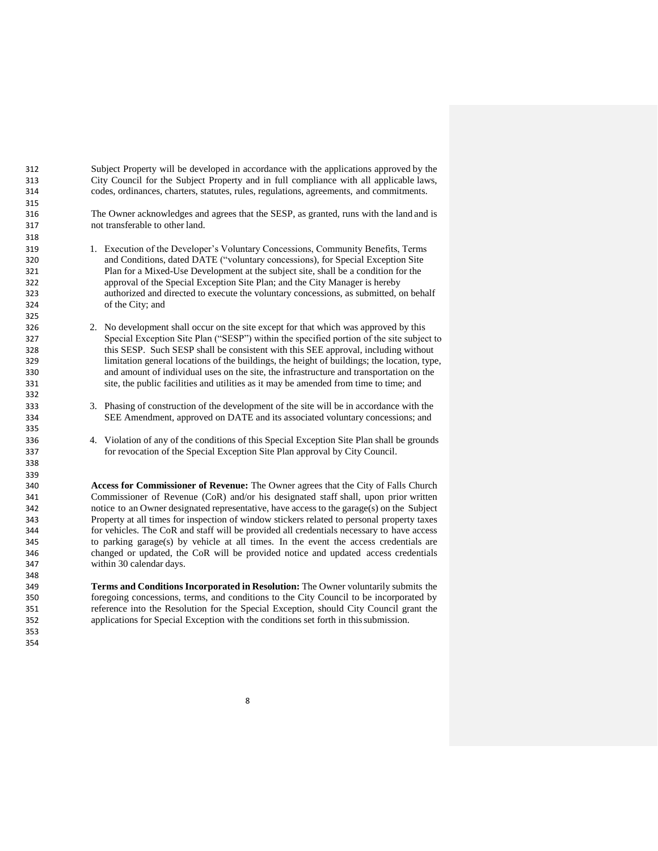Subject Property will be developed in accordance with the applications approved by the City Council for the Subject Property and in full compliance with all applicable laws, codes, ordinances, charters, statutes, rules, regulations, agreements, and commitments.

 The Owner acknowledges and agrees that the SESP, as granted, runs with the land and is not transferable to other land.

- 1. Execution of the Developer's Voluntary Concessions, Community Benefits, Terms and Conditions, dated DATE ("voluntary concessions), for Special Exception Site Plan for a Mixed-Use Development at the subject site, shall be a condition for the approval of the Special Exception Site Plan; and the City Manager is hereby authorized and directed to execute the voluntary concessions, as submitted, on behalf of the City; and
- 2. No development shall occur on the site except for that which was approved by this Special Exception Site Plan ("SESP") within the specified portion of the site subject to this SESP. Such SESP shall be consistent with this SEE approval, including without limitation general locations of the buildings, the height of buildings; the location, type, and amount of individual uses on the site, the infrastructure and transportation on the site, the public facilities and utilities as it may be amended from time to time; and
- 3. Phasing of construction of the development of the site will be in accordance with the SEE Amendment, approved on DATE and its associated voluntary concessions; and
- 4. Violation of any of the conditions of this Special Exception Site Plan shall be grounds for revocation of the Special Exception Site Plan approval by City Council.

 **Access for Commissioner of Revenue:** The Owner agrees that the City of Falls Church Commissioner of Revenue (CoR) and/or his designated staff shall, upon prior written notice to an Owner designated representative, have access to the garage(s) on the Subject Property at all times for inspection of window stickers related to personal property taxes for vehicles. The CoR and staff will be provided all credentials necessary to have access to parking garage(s) by vehicle at all times. In the event the access credentials are changed or updated, the CoR will be provided notice and updated access credentials within 30 calendar days.

 **Terms and Conditions Incorporated in Resolution:** The Owner voluntarily submits the foregoing concessions, terms, and conditions to the City Council to be incorporated by reference into the Resolution for the Special Exception, should City Council grant the applications for Special Exception with the conditions set forth in thissubmission.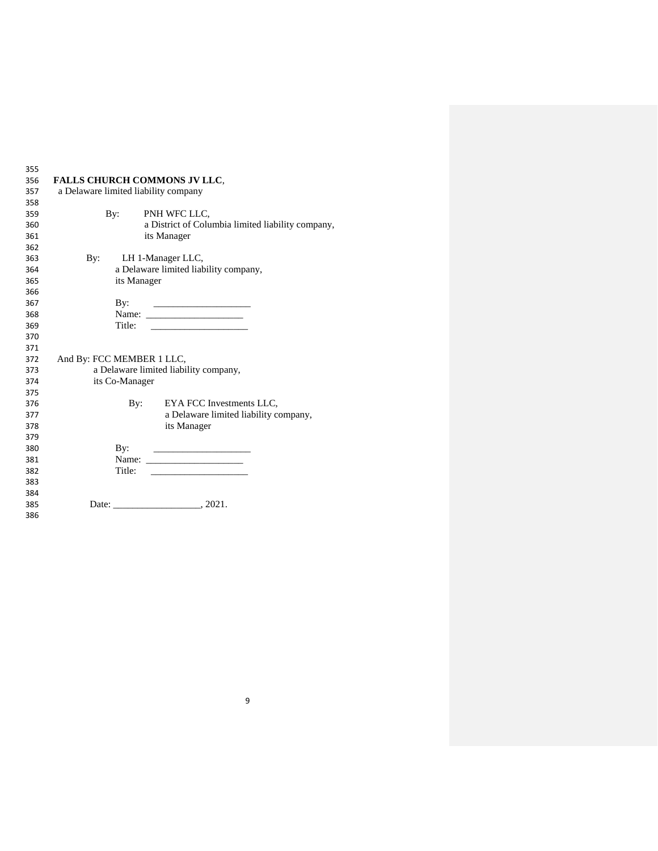| 355 |                                       |                |                                                             |  |  |  |
|-----|---------------------------------------|----------------|-------------------------------------------------------------|--|--|--|
| 356 | <b>FALLS CHURCH COMMONS JV LLC.</b>   |                |                                                             |  |  |  |
| 357 | a Delaware limited liability company  |                |                                                             |  |  |  |
| 358 |                                       |                |                                                             |  |  |  |
| 359 | $\mathbf{B}v$ :                       |                | PNH WFC LLC.                                                |  |  |  |
| 360 |                                       |                | a District of Columbia limited liability company,           |  |  |  |
| 361 |                                       |                | its Manager                                                 |  |  |  |
| 362 |                                       |                |                                                             |  |  |  |
| 363 | $\mathbf{By:}$                        |                | LH 1-Manager LLC,                                           |  |  |  |
| 364 | a Delaware limited liability company, |                |                                                             |  |  |  |
| 365 | its Manager                           |                |                                                             |  |  |  |
| 366 |                                       |                |                                                             |  |  |  |
| 367 | By:                                   |                |                                                             |  |  |  |
| 368 |                                       |                |                                                             |  |  |  |
| 369 | Title:                                |                | <u>and the state of the state of the state of the state</u> |  |  |  |
| 370 |                                       |                |                                                             |  |  |  |
| 371 |                                       |                |                                                             |  |  |  |
| 372 | And By: FCC MEMBER 1 LLC,             |                |                                                             |  |  |  |
| 373 | a Delaware limited liability company, |                |                                                             |  |  |  |
| 374 | its Co-Manager                        |                |                                                             |  |  |  |
| 375 |                                       |                |                                                             |  |  |  |
| 376 |                                       | $\mathbf{By:}$ | EYA FCC Investments LLC,                                    |  |  |  |
| 377 |                                       |                | a Delaware limited liability company,                       |  |  |  |
| 378 |                                       |                | its Manager                                                 |  |  |  |
| 379 |                                       |                |                                                             |  |  |  |
| 380 | By:                                   |                |                                                             |  |  |  |
| 381 |                                       |                |                                                             |  |  |  |
| 382 | Title:                                |                |                                                             |  |  |  |
| 383 |                                       |                |                                                             |  |  |  |
| 384 |                                       |                |                                                             |  |  |  |
| 385 |                                       |                | Date: 2021.                                                 |  |  |  |
| 386 |                                       |                |                                                             |  |  |  |